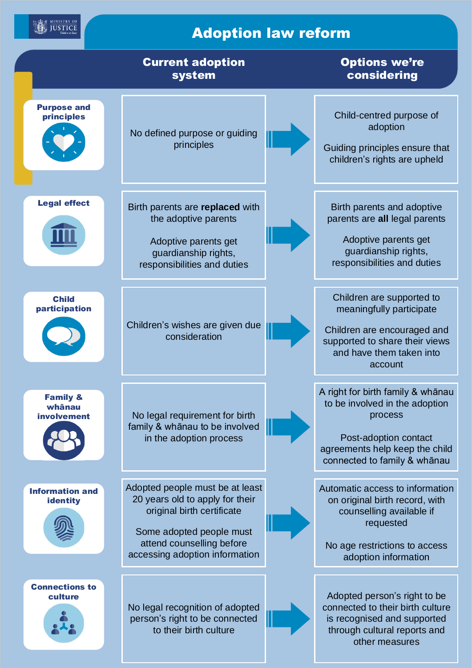$\left( \begin{matrix} \frac{1}{2} & \frac{1}{2} \\ \frac{1}{2} & \frac{1}{2} \end{matrix} \right) \frac{ \text{MINISTRY OF}}{\text{Table 2} \text{ in } \mathbb{Z} \text{ line}}$ 

## Adoption law reform

|                                              | <b>Current adoption</b><br>system                                                                                                                                                           | <b>Options we're</b><br>considering                                                                                                                                       |
|----------------------------------------------|---------------------------------------------------------------------------------------------------------------------------------------------------------------------------------------------|---------------------------------------------------------------------------------------------------------------------------------------------------------------------------|
| <b>Purpose and</b><br>principles             | No defined purpose or guiding<br>principles                                                                                                                                                 | Child-centred purpose of<br>adoption<br>Guiding principles ensure that<br>children's rights are upheld                                                                    |
| <b>Legal effect</b>                          | Birth parents are replaced with<br>the adoptive parents<br>Adoptive parents get<br>guardianship rights,<br>responsibilities and duties                                                      | Birth parents and adoptive<br>parents are all legal parents<br>Adoptive parents get<br>guardianship rights,<br>responsibilities and duties                                |
| <b>Child</b><br>participation                | Children's wishes are given due<br>consideration                                                                                                                                            | Children are supported to<br>meaningfully participate<br>Children are encouraged and<br>supported to share their views<br>and have them taken into<br>account             |
| <b>Family &amp;</b><br>whānau<br>involvement | No legal requirement for birth<br>family & whānau to be involved<br>in the adoption process                                                                                                 | A right for birth family & whanau<br>to be involved in the adoption<br>process<br>Post-adoption contact<br>agreements help keep the child<br>connected to family & whānau |
| <b>Information and</b><br><b>identity</b>    | Adopted people must be at least<br>20 years old to apply for their<br>original birth certificate<br>Some adopted people must<br>attend counselling before<br>accessing adoption information | Automatic access to information<br>on original birth record, with<br>counselling available if<br>requested<br>No age restrictions to access<br>adoption information       |
| <b>Connections to</b><br>culture             | No legal recognition of adopted<br>person's right to be connected<br>to their birth culture                                                                                                 | Adopted person's right to be<br>connected to their birth culture<br>is recognised and supported<br>through cultural reports and<br>other measures                         |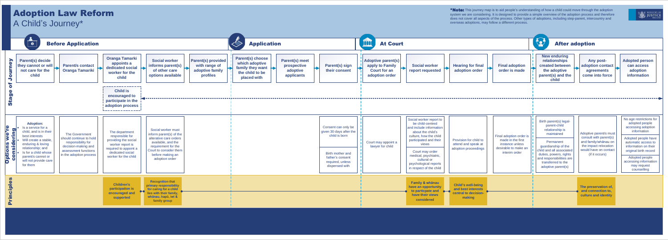## Adoption Law Reform A Child's Journey\*

\*Note: This journey map is to aid people's understanding of how a child could move through the adoption system we are considering. It is designed to provide a simple overview of the adoption process and therefore does not cover all aspects of the process. Other types of adoptions, including step-parent, intercountry and overseas adoptions, may follow a different process.





| <b>After adoption</b>                                         |                                                                                                       |                                                                                                                    |                                                                                             |  |
|---------------------------------------------------------------|-------------------------------------------------------------------------------------------------------|--------------------------------------------------------------------------------------------------------------------|---------------------------------------------------------------------------------------------|--|
| doption<br>s made                                             | <b>New enduring</b><br>relationships<br>created between<br>the adoptive<br>parent(s) and the<br>child | <b>Any post-</b><br>adoption contact<br>agreements<br>come into force                                              | <b>Adopted person</b><br>can access<br>adoption<br>information                              |  |
|                                                               |                                                                                                       |                                                                                                                    |                                                                                             |  |
| ion order is<br>the first<br>e unless<br>o make an<br>n order | Birth parent(s) legal-<br>parent-child<br>relationship is<br>maintained                               | Adoptive parent/s must                                                                                             | No age restrictions for<br>adopted people<br>accessing adoption<br>information              |  |
|                                                               | Permanent<br>guardianship of the<br>child and all associated                                          | consult with parent(s)<br>and family/whānau on<br>the impact relocation<br>would have on contact<br>(if it occurs) | Adopted people have<br>automatic access to<br>information on their<br>original birth record |  |
|                                                               | duties, powers, rights<br>and responsibilities are<br>transferred to the<br>adoptive parent(s)        |                                                                                                                    | Adopted people<br>accessing information<br>may request<br>counselling                       |  |
|                                                               |                                                                                                       |                                                                                                                    |                                                                                             |  |
|                                                               |                                                                                                       | The preservation of,<br>and connection to,                                                                         |                                                                                             |  |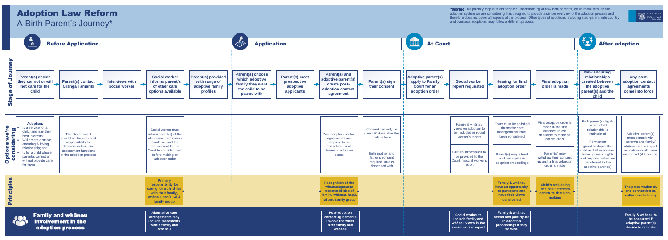## Adoption Law Reform A Birth Parent's Journey\*

\*Note: This journey map is to aid people's understanding of how birth parent(s) could move through the adoption system we are considering. It is designed to provide a simple overview of the adoption process and therefore does not cover all aspects of the process. Other types of adoptions, including step-parent, intercountry and overseas adoptions, may follow a different process.